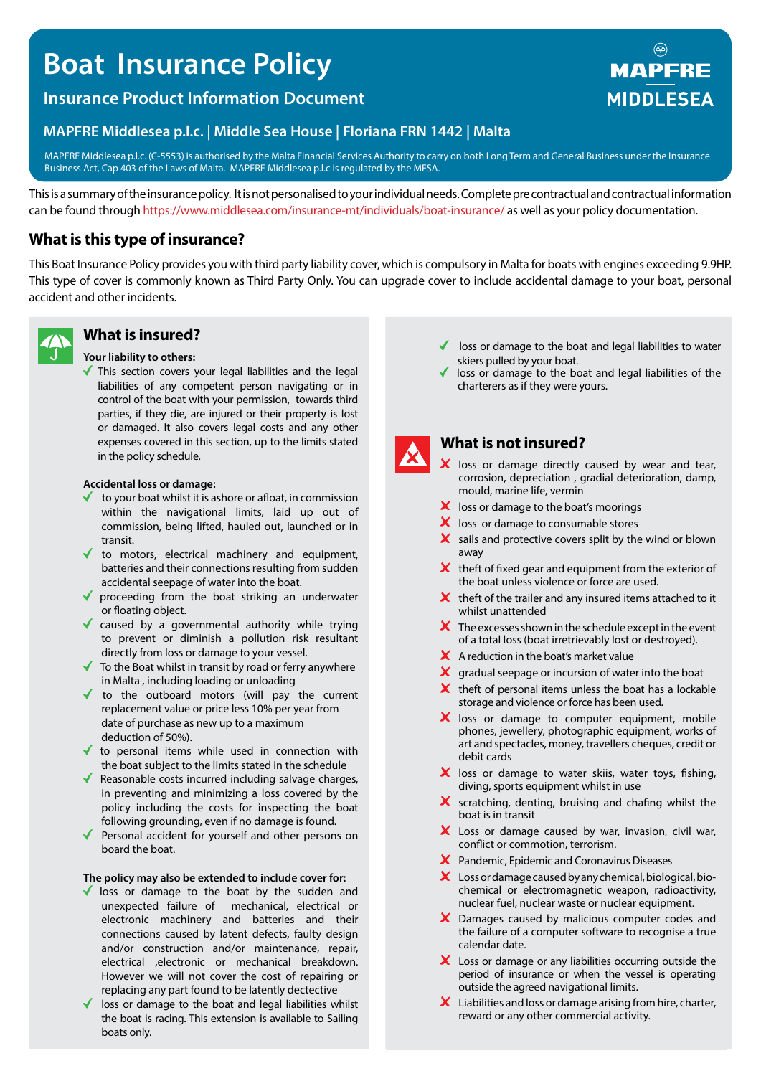# **Boat Insurance Policy**

### **Insurance Product Information Document**

#### **MAPFRE Middlesea p.l.c. | Middle Sea House | Floriana FRN 1442 | Malta**

MAPFRE Middlesea p.l.c. (C-5553) is authorised by the Malta Financial Services Authority to carry on both Long Term and General Business under the Insurance Business Act, Cap 403 of the Laws of Malta. MAPFRE Middlesea p.l.c is regulated by the MFSA.

This is a summary of the insurance policy. It is not personalised to your individual needs. Complete pre contractual and contractual information can be found through https://www.middlesea.com/insurance-mt/individuals/boat-insurance/ as well as your policy documentation.

#### **What is this type of insurance?**

This Boat Insurance Policy provides you with third party liability cover, which is compulsory in Malta for boats with engines exceeding 9.9HP. This type of cover is commonly known as Third Party Only. You can upgrade cover to include accidental damage to your boat, personal accident and other incidents.



#### **What is insured?**

#### **Your liability to others:**

This section covers your legal liabilities and the legal liabilities of any competent person navigating or in control of the boat with your permission, towards third parties, if they die, are injured or their property is lost or damaged. It also covers legal costs and any other expenses covered in this section, up to the limits stated in the policy schedule.

#### **Accidental loss or damage:**

- to your boat whilst it is ashore or afloat, in commission within the navigational limits, laid up out of commission, being lifted, hauled out, launched or in transit.
- to motors, electrical machinery and equipment, batteries and their connections resulting from sudden accidental seepage of water into the boat.
- ◆ proceeding from the boat striking an underwater or floating object.
- caused by a governmental authority while trying to prevent or diminish a pollution risk resultant directly from loss or damage to your vessel.
- ◆ To the Boat whilst in transit by road or ferry anywhere in Malta , including loading or unloading
- $\checkmark$  to the outboard motors (will pay the current replacement value or price less 10% per year from date of purchase as new up to a maximum deduction of 50%).
- $\blacklozenge$  to personal items while used in connection with the boat subject to the limits stated in the schedule
- ◆ Reasonable costs incurred including salvage charges, in preventing and minimizing a loss covered by the policy including the costs for inspecting the boat following grounding, even if no damage is found.
- Personal accident for yourself and other persons on board the boat.

#### **The policy may also be extended to include cover for:**

- I loss or damage to the boat by the sudden and unexpected failure of mechanical, electrical or electronic machinery and batteries and their connections caused by latent defects, faulty design and/or construction and/or maintenance, repair, electrical ,electronic or mechanical breakdown. However we will not cover the cost of repairing or replacing any part found to be latently dectective
- loss or damage to the boat and legal liabilities whilst the boat is racing. This extension is available to Sailing boats only.
- loss or damage to the boat and legal liabilities to water skiers pulled by your boat.
- loss or damage to the boat and legal liabilities of the charterers as if they were yours.



#### **What is not insured?**

- X loss or damage directly caused by wear and tear, corrosion, depreciation , gradial deterioration, damp, mould, marine life, vermin
- $\boldsymbol{\times}$  loss or damage to the boat's moorings
- $\boldsymbol{\times}$  loss or damage to consumable stores
- $\boldsymbol{\times}$  sails and protective covers split by the wind or blown away
- $\mathsf{\times}\,$  theft of fixed gear and equipment from the exterior of the boat unless violence or force are used.
- $\boldsymbol{\times}$  theft of the trailer and any insured items attached to it whilst unattended
- $\boldsymbol{\times}$  The excesses shown in the schedule except in the event of a total loss (boat irretrievably lost or destroyed).
- $\boldsymbol{\times}$  A reduction in the boat's market value
- $\mathsf{\times}$  gradual seepage or incursion of water into the boat
- $\boldsymbol{\times}$  theft of personal items unless the boat has a lockable storage and violence or force has been used.
- X loss or damage to computer equipment, mobile phones, jewellery, photographic equipment, works of art and spectacles, money, travellers cheques, credit or debit cards
- X loss or damage to water skiis, water toys, fishing, diving, sports equipment whilst in use
- $\boldsymbol{\times}$  scratching, denting, bruising and chafing whilst the boat is in transit
- X Loss or damage caused by war, invasion, civil war, conflict or commotion, terrorism.
- Pandemic, Epidemic and Coronavirus Diseases
- $\boldsymbol{\times}$  Loss or damage caused by any chemical, biological, biochemical or electromagnetic weapon, radioactivity, nuclear fuel, nuclear waste or nuclear equipment.
- X Damages caused by malicious computer codes and the failure of a computer software to recognise a true calendar date.
- X Loss or damage or any liabilities occurring outside the period of insurance or when the vessel is operating outside the agreed navigational limits.
- $\boldsymbol{\times}$  Liabilities and loss or damage arising from hire, charter, reward or any other commercial activity.

## **MAPFRE MIDDLESEA**